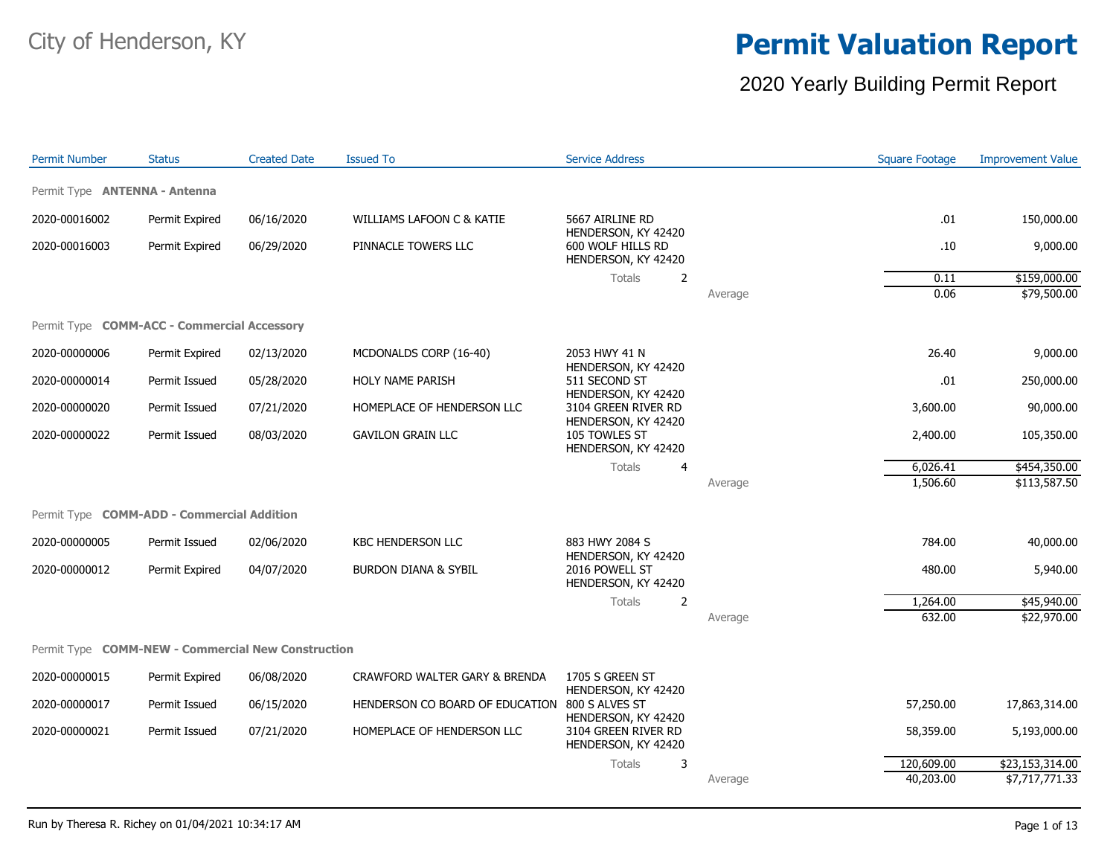#### 2020 Yearly Building Permit Report

| <b>Permit Number</b>                               | <b>Status</b>  | <b>Created Date</b> | <b>Issued To</b>                | <b>Service Address</b>                                          |         | <b>Square Footage</b> | <b>Improvement Value</b> |
|----------------------------------------------------|----------------|---------------------|---------------------------------|-----------------------------------------------------------------|---------|-----------------------|--------------------------|
| Permit Type <b>ANTENNA - Antenna</b>               |                |                     |                                 |                                                                 |         |                       |                          |
| 2020-00016002                                      | Permit Expired | 06/16/2020          | WILLIAMS LAFOON C & KATIE       | 5667 AIRLINE RD                                                 |         | .01                   | 150,000.00               |
| 2020-00016003                                      | Permit Expired | 06/29/2020          | PINNACLE TOWERS LLC             | HENDERSON, KY 42420<br>600 WOLF HILLS RD<br>HENDERSON, KY 42420 |         | .10                   | 9,000.00                 |
|                                                    |                |                     |                                 | <b>Totals</b><br>2                                              |         | 0.11                  | \$159,000.00             |
|                                                    |                |                     |                                 |                                                                 | Average | 0.06                  | \$79,500.00              |
| Permit Type COMM-ACC - Commercial Accessory        |                |                     |                                 |                                                                 |         |                       |                          |
| 2020-00000006                                      | Permit Expired | 02/13/2020          | MCDONALDS CORP (16-40)          | 2053 HWY 41 N<br>HENDERSON, KY 42420                            |         | 26.40                 | 9,000.00                 |
| 2020-00000014                                      | Permit Issued  | 05/28/2020          | HOLY NAME PARISH                | 511 SECOND ST<br>HENDERSON, KY 42420                            |         | .01                   | 250,000.00               |
| 2020-00000020                                      | Permit Issued  | 07/21/2020          | HOMEPLACE OF HENDERSON LLC      | 3104 GREEN RIVER RD                                             |         | 3,600.00              | 90,000.00                |
| 2020-00000022                                      | Permit Issued  | 08/03/2020          | <b>GAVILON GRAIN LLC</b>        | HENDERSON, KY 42420<br>105 TOWLES ST<br>HENDERSON, KY 42420     |         | 2,400.00              | 105,350.00               |
|                                                    |                |                     |                                 | Totals<br>$\overline{4}$                                        |         | 6,026.41              | \$454,350.00             |
|                                                    |                |                     |                                 |                                                                 | Average | 1,506.60              | \$113,587.50             |
| Permit Type <b>COMM-ADD - Commercial Addition</b>  |                |                     |                                 |                                                                 |         |                       |                          |
| 2020-00000005                                      | Permit Issued  | 02/06/2020          | <b>KBC HENDERSON LLC</b>        | 883 HWY 2084 S                                                  |         | 784.00                | 40,000.00                |
| 2020-00000012                                      | Permit Expired | 04/07/2020          | <b>BURDON DIANA &amp; SYBIL</b> | HENDERSON, KY 42420<br>2016 POWELL ST<br>HENDERSON, KY 42420    |         | 480.00                | 5,940.00                 |
|                                                    |                |                     |                                 | <b>Totals</b><br>$\overline{2}$                                 |         | 1,264.00              | \$45,940.00              |
|                                                    |                |                     |                                 |                                                                 | Average | 632.00                | \$22,970.00              |
| Permit Type COMM-NEW - Commercial New Construction |                |                     |                                 |                                                                 |         |                       |                          |
| 2020-00000015                                      | Permit Expired | 06/08/2020          | CRAWFORD WALTER GARY & BRENDA   | 1705 S GREEN ST<br>HENDERSON, KY 42420                          |         |                       |                          |
| 2020-00000017                                      | Permit Issued  | 06/15/2020          | HENDERSON CO BOARD OF EDUCATION | 800 S ALVES ST<br>HENDERSON, KY 42420                           |         | 57,250.00             | 17,863,314.00            |
| 2020-00000021                                      | Permit Issued  | 07/21/2020          | HOMEPLACE OF HENDERSON LLC      | 3104 GREEN RIVER RD<br>HENDERSON, KY 42420                      |         | 58,359.00             | 5,193,000.00             |
|                                                    |                |                     |                                 | 3<br>Totals                                                     |         | 120,609.00            | \$23,153,314.00          |
|                                                    |                |                     |                                 |                                                                 | Average | 40,203.00             | \$7,717,771.33           |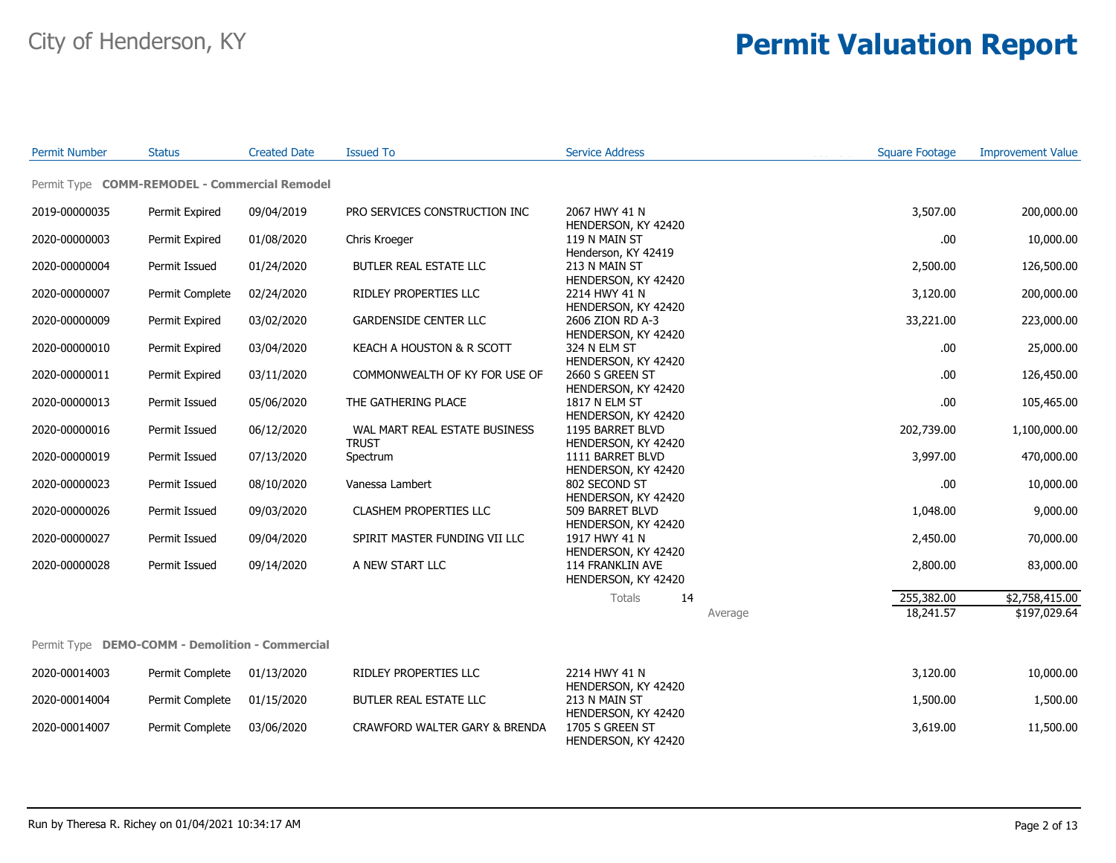| <b>Permit Number</b> | <b>Status</b>                                   | <b>Created Date</b> | <b>Issued To</b>                              | <b>Service Address</b>                  |         | <b>Square Footage</b> | <b>Improvement Value</b> |
|----------------------|-------------------------------------------------|---------------------|-----------------------------------------------|-----------------------------------------|---------|-----------------------|--------------------------|
|                      | Permit Type COMM-REMODEL - Commercial Remodel   |                     |                                               |                                         |         |                       |                          |
| 2019-00000035        | Permit Expired                                  | 09/04/2019          | PRO SERVICES CONSTRUCTION INC                 | 2067 HWY 41 N<br>HENDERSON, KY 42420    |         | 3,507.00              | 200,000.00               |
| 2020-00000003        | Permit Expired                                  | 01/08/2020          | Chris Kroeger                                 | 119 N MAIN ST<br>Henderson, KY 42419    |         | .00                   | 10,000.00                |
| 2020-00000004        | Permit Issued                                   | 01/24/2020          | BUTLER REAL ESTATE LLC                        | 213 N MAIN ST<br>HENDERSON, KY 42420    |         | 2,500.00              | 126,500.00               |
| 2020-00000007        | Permit Complete                                 | 02/24/2020          | RIDLEY PROPERTIES LLC                         | 2214 HWY 41 N<br>HENDERSON, KY 42420    |         | 3,120.00              | 200,000.00               |
| 2020-00000009        | Permit Expired                                  | 03/02/2020          | <b>GARDENSIDE CENTER LLC</b>                  | 2606 ZION RD A-3<br>HENDERSON, KY 42420 |         | 33,221.00             | 223,000.00               |
| 2020-00000010        | Permit Expired                                  | 03/04/2020          | KEACH A HOUSTON & R SCOTT                     | 324 N ELM ST<br>HENDERSON, KY 42420     |         | .00                   | 25,000.00                |
| 2020-00000011        | Permit Expired                                  | 03/11/2020          | COMMONWEALTH OF KY FOR USE OF                 | 2660 S GREEN ST<br>HENDERSON, KY 42420  |         | .00.                  | 126,450.00               |
| 2020-00000013        | Permit Issued                                   | 05/06/2020          | THE GATHERING PLACE                           | 1817 N ELM ST<br>HENDERSON, KY 42420    |         | .00                   | 105,465.00               |
| 2020-00000016        | Permit Issued                                   | 06/12/2020          | WAL MART REAL ESTATE BUSINESS<br><b>TRUST</b> | 1195 BARRET BLVD<br>HENDERSON, KY 42420 |         | 202,739.00            | 1,100,000.00             |
| 2020-00000019        | Permit Issued                                   | 07/13/2020          | Spectrum                                      | 1111 BARRET BLVD<br>HENDERSON, KY 42420 |         | 3,997.00              | 470,000.00               |
| 2020-00000023        | Permit Issued                                   | 08/10/2020          | Vanessa Lambert                               | 802 SECOND ST<br>HENDERSON, KY 42420    |         | .00                   | 10,000.00                |
| 2020-00000026        | Permit Issued                                   | 09/03/2020          | CLASHEM PROPERTIES LLC                        | 509 BARRET BLVD<br>HENDERSON, KY 42420  |         | 1,048.00              | 9,000.00                 |
| 2020-00000027        | Permit Issued                                   | 09/04/2020          | SPIRIT MASTER FUNDING VII LLC                 | 1917 HWY 41 N<br>HENDERSON, KY 42420    |         | 2,450.00              | 70,000.00                |
| 2020-00000028        | Permit Issued                                   | 09/14/2020          | A NEW START LLC                               | 114 FRANKLIN AVE<br>HENDERSON, KY 42420 |         | 2,800.00              | 83,000.00                |
|                      |                                                 |                     |                                               | Totals<br>14                            |         | 255,382.00            | \$2,758,415.00           |
|                      |                                                 |                     |                                               |                                         | Average | 18,241.57             | \$197,029.64             |
|                      | Permit Type DEMO-COMM - Demolition - Commercial |                     |                                               |                                         |         |                       |                          |
| 2020-00014003        | Permit Complete                                 | 01/13/2020          | RIDLEY PROPERTIES LLC                         | 2214 HWY 41 N<br>HENDERSON, KY 42420    |         | 3,120.00              | 10,000.00                |
| 2020-00014004        | Permit Complete                                 | 01/15/2020          | BUTLER REAL ESTATE LLC                        | 213 N MAIN ST<br>HENDERSON, KY 42420    |         | 1,500.00              | 1,500.00                 |
| 2020-00014007        | Permit Complete                                 | 03/06/2020          | CRAWFORD WALTER GARY & BRENDA                 | 1705 S GREEN ST<br>HENDERSON, KY 42420  |         | 3,619.00              | 11,500.00                |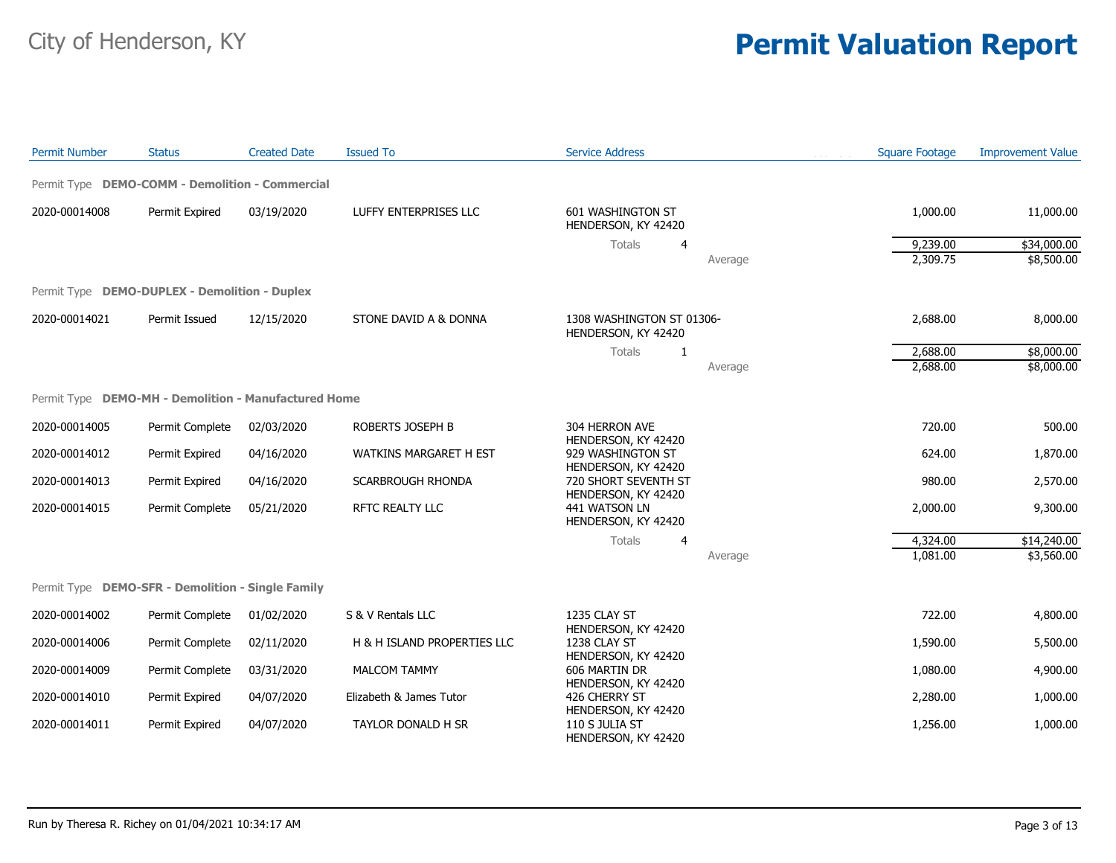| <b>Permit Number</b> | <b>Status</b>                                        | <b>Created Date</b> | <b>Issued To</b>              | <b>Service Address</b>                                       | <b>Square Footage</b> | <b>Improvement Value</b> |
|----------------------|------------------------------------------------------|---------------------|-------------------------------|--------------------------------------------------------------|-----------------------|--------------------------|
|                      | Permit Type DEMO-COMM - Demolition - Commercial      |                     |                               |                                                              |                       |                          |
| 2020-00014008        | Permit Expired                                       | 03/19/2020          | LUFFY ENTERPRISES LLC         | 601 WASHINGTON ST<br>HENDERSON, KY 42420                     | 1,000.00              | 11,000.00                |
|                      |                                                      |                     |                               | Totals<br>4                                                  | 9,239.00              | \$34,000.00              |
|                      |                                                      |                     |                               | Average                                                      | 2,309.75              | \$8,500.00               |
|                      | Permit Type DEMO-DUPLEX - Demolition - Duplex        |                     |                               |                                                              |                       |                          |
| 2020-00014021        | Permit Issued                                        | 12/15/2020          | STONE DAVID A & DONNA         | 1308 WASHINGTON ST 01306-<br>HENDERSON, KY 42420             | 2,688.00              | 8,000.00                 |
|                      |                                                      |                     |                               | Totals<br>-1                                                 | 2,688.00              | \$8,000.00               |
|                      |                                                      |                     |                               | Average                                                      | 2,688.00              | \$8,000.00               |
|                      | Permit Type DEMO-MH - Demolition - Manufactured Home |                     |                               |                                                              |                       |                          |
| 2020-00014005        | Permit Complete                                      | 02/03/2020          | ROBERTS JOSEPH B              | 304 HERRON AVE<br>HENDERSON, KY 42420                        | 720.00                | 500.00                   |
| 2020-00014012        | Permit Expired                                       | 04/16/2020          | <b>WATKINS MARGARET H EST</b> | 929 WASHINGTON ST                                            | 624.00                | 1,870.00                 |
| 2020-00014013        | Permit Expired                                       | 04/16/2020          | <b>SCARBROUGH RHONDA</b>      | HENDERSON, KY 42420<br>720 SHORT SEVENTH ST                  | 980.00                | 2,570.00                 |
| 2020-00014015        | Permit Complete                                      | 05/21/2020          | RFTC REALTY LLC               | HENDERSON, KY 42420<br>441 WATSON LN<br>HENDERSON, KY 42420  | 2,000.00              | 9,300.00                 |
|                      |                                                      |                     |                               | Totals<br>4                                                  | 4,324.00              | \$14,240.00              |
|                      |                                                      |                     |                               | Average                                                      | 1,081.00              | \$3,560.00               |
|                      | Permit Type DEMO-SFR - Demolition - Single Family    |                     |                               |                                                              |                       |                          |
| 2020-00014002        | Permit Complete                                      | 01/02/2020          | S & V Rentals LLC             | 1235 CLAY ST                                                 | 722.00                | 4,800.00                 |
| 2020-00014006        | Permit Complete                                      | 02/11/2020          | H & H ISLAND PROPERTIES LLC   | HENDERSON, KY 42420<br>1238 CLAY ST                          | 1,590.00              | 5,500.00                 |
| 2020-00014009        | Permit Complete                                      | 03/31/2020          | <b>MALCOM TAMMY</b>           | HENDERSON, KY 42420<br>606 MARTIN DR                         | 1,080.00              | 4,900.00                 |
| 2020-00014010        | Permit Expired                                       | 04/07/2020          | Elizabeth & James Tutor       | HENDERSON, KY 42420<br>426 CHERRY ST                         | 2,280.00              | 1,000.00                 |
| 2020-00014011        | Permit Expired                                       | 04/07/2020          | TAYLOR DONALD H SR            | HENDERSON, KY 42420<br>110 S JULIA ST<br>HENDERSON, KY 42420 | 1,256.00              | 1,000.00                 |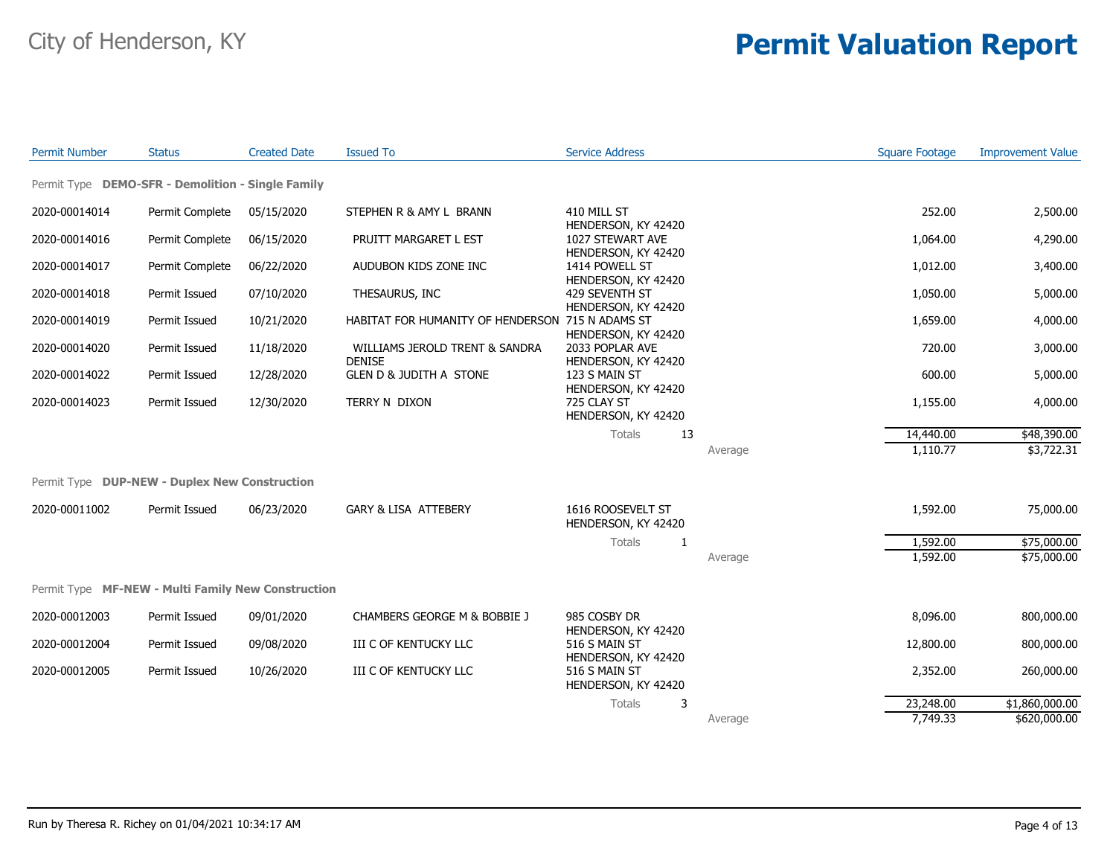| <b>Permit Number</b> | <b>Status</b>                                        | <b>Created Date</b> | <b>Issued To</b>                                 | <b>Service Address</b>                                         |         | <b>Square Footage</b> | <b>Improvement Value</b> |
|----------------------|------------------------------------------------------|---------------------|--------------------------------------------------|----------------------------------------------------------------|---------|-----------------------|--------------------------|
|                      | Permit Type DEMO-SFR - Demolition - Single Family    |                     |                                                  |                                                                |         |                       |                          |
| 2020-00014014        | Permit Complete                                      | 05/15/2020          | STEPHEN R & AMY L BRANN                          | 410 MILL ST                                                    |         | 252.00                | 2,500.00                 |
| 2020-00014016        | Permit Complete                                      | 06/15/2020          | PRUITT MARGARET L EST                            | HENDERSON, KY 42420<br>1027 STEWART AVE<br>HENDERSON, KY 42420 |         | 1,064.00              | 4,290.00                 |
| 2020-00014017        | Permit Complete                                      | 06/22/2020          | AUDUBON KIDS ZONE INC                            | 1414 POWELL ST<br>HENDERSON, KY 42420                          |         | 1,012.00              | 3,400.00                 |
| 2020-00014018        | Permit Issued                                        | 07/10/2020          | THESAURUS, INC                                   | 429 SEVENTH ST<br>HENDERSON, KY 42420                          |         | 1,050.00              | 5,000.00                 |
| 2020-00014019        | Permit Issued                                        | 10/21/2020          | HABITAT FOR HUMANITY OF HENDERSON 715 N ADAMS ST | HENDERSON, KY 42420                                            |         | 1,659.00              | 4,000.00                 |
| 2020-00014020        | Permit Issued                                        | 11/18/2020          | WILLIAMS JEROLD TRENT & SANDRA<br><b>DENISE</b>  | 2033 POPLAR AVE<br>HENDERSON, KY 42420                         |         | 720.00                | 3,000.00                 |
| 2020-00014022        | Permit Issued                                        | 12/28/2020          | <b>GLEN D &amp; JUDITH A STONE</b>               | 123 S MAIN ST<br>HENDERSON, KY 42420                           |         | 600.00                | 5,000.00                 |
| 2020-00014023        | Permit Issued                                        | 12/30/2020          | TERRY N DIXON                                    | 725 CLAY ST<br>HENDERSON, KY 42420                             |         | 1,155.00              | 4,000.00                 |
|                      |                                                      |                     |                                                  | 13<br>Totals                                                   |         | 14,440.00             | \$48,390.00              |
|                      |                                                      |                     |                                                  |                                                                | Average | 1,110.77              | \$3,722.31               |
|                      | Permit Type <b>DUP-NEW - Duplex New Construction</b> |                     |                                                  |                                                                |         |                       |                          |
| 2020-00011002        | Permit Issued                                        | 06/23/2020          | <b>GARY &amp; LISA ATTEBERY</b>                  | 1616 ROOSEVELT ST<br>HENDERSON, KY 42420                       |         | 1,592.00              | 75,000.00                |
|                      |                                                      |                     |                                                  | Totals<br>1                                                    |         | 1,592.00              | \$75,000.00              |
|                      |                                                      |                     |                                                  |                                                                | Average | 1,592.00              | \$75,000.00              |
|                      | Permit Type MF-NEW - Multi Family New Construction   |                     |                                                  |                                                                |         |                       |                          |
| 2020-00012003        | Permit Issued                                        | 09/01/2020          | CHAMBERS GEORGE M & BOBBIE J                     | 985 COSBY DR<br>HENDERSON, KY 42420                            |         | 8,096.00              | 800,000.00               |
| 2020-00012004        | Permit Issued                                        | 09/08/2020          | III C OF KENTUCKY LLC                            | 516 S MAIN ST<br>HENDERSON, KY 42420                           |         | 12,800.00             | 800,000.00               |
| 2020-00012005        | Permit Issued                                        | 10/26/2020          | III C OF KENTUCKY LLC                            | 516 S MAIN ST<br>HENDERSON, KY 42420                           |         | 2,352.00              | 260,000.00               |
|                      |                                                      |                     |                                                  | 3<br>Totals                                                    |         | 23,248.00             | \$1,860,000.00           |
|                      |                                                      |                     |                                                  |                                                                | Average | 7.749.33              | \$620,000.00             |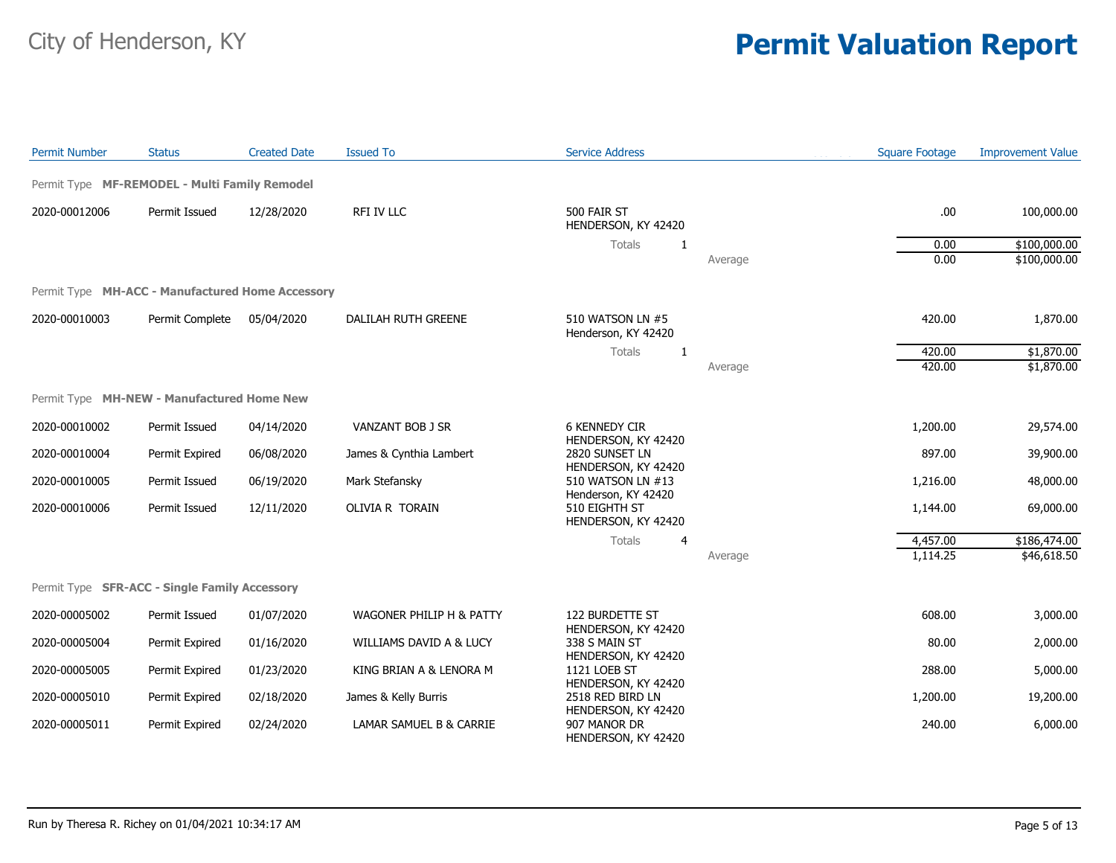| <b>Permit Number</b> | <b>Status</b>                                        | <b>Created Date</b> | <b>Issued To</b>         | <b>Service Address</b>                                      |         | <b>Square Footage</b> | <b>Improvement Value</b> |
|----------------------|------------------------------------------------------|---------------------|--------------------------|-------------------------------------------------------------|---------|-----------------------|--------------------------|
|                      | Permit Type MF-REMODEL - Multi Family Remodel        |                     |                          |                                                             |         |                       |                          |
| 2020-00012006        | Permit Issued                                        | 12/28/2020          | RFI IV LLC               | 500 FAIR ST<br>HENDERSON, KY 42420                          |         | .00                   | 100,000.00               |
|                      |                                                      |                     |                          | Totals<br>$\mathbf{1}$                                      |         | 0.00                  | \$100,000.00             |
|                      |                                                      |                     |                          |                                                             | Average | 0.00                  | \$100,000.00             |
|                      | Permit Type MH-ACC - Manufactured Home Accessory     |                     |                          |                                                             |         |                       |                          |
| 2020-00010003        | Permit Complete                                      | 05/04/2020          | DALILAH RUTH GREENE      | 510 WATSON LN #5<br>Henderson, KY 42420                     |         | 420.00                | 1,870.00                 |
|                      |                                                      |                     |                          | Totals<br>-1                                                |         | 420.00                | \$1,870.00               |
|                      |                                                      |                     |                          |                                                             | Average | 420.00                | \$1,870.00               |
|                      | Permit Type MH-NEW - Manufactured Home New           |                     |                          |                                                             |         |                       |                          |
| 2020-00010002        | Permit Issued                                        | 04/14/2020          | VANZANT BOB J SR         | <b>6 KENNEDY CIR</b><br>HENDERSON, KY 42420                 |         | 1,200.00              | 29,574.00                |
| 2020-00010004        | Permit Expired                                       | 06/08/2020          | James & Cynthia Lambert  | 2820 SUNSET LN                                              |         | 897.00                | 39,900.00                |
| 2020-00010005        | Permit Issued                                        | 06/19/2020          | Mark Stefansky           | HENDERSON, KY 42420<br>510 WATSON LN #13                    |         | 1,216.00              | 48,000.00                |
| 2020-00010006        | Permit Issued                                        | 12/11/2020          | OLIVIA R TORAIN          | Henderson, KY 42420<br>510 EIGHTH ST<br>HENDERSON, KY 42420 |         | 1,144.00              | 69,000.00                |
|                      |                                                      |                     |                          | Totals<br>4                                                 |         | 4,457.00              | \$186,474.00             |
|                      |                                                      |                     |                          |                                                             | Average | 1,114.25              | \$46,618.50              |
|                      | Permit Type <b>SFR-ACC - Single Family Accessory</b> |                     |                          |                                                             |         |                       |                          |
| 2020-00005002        | Permit Issued                                        | 01/07/2020          | WAGONER PHILIP H & PATTY | 122 BURDETTE ST                                             |         | 608.00                | 3,000.00                 |
| 2020-00005004        | Permit Expired                                       | 01/16/2020          | WILLIAMS DAVID A & LUCY  | HENDERSON, KY 42420<br>338 S MAIN ST                        |         | 80.00                 | 2,000.00                 |
| 2020-00005005        | Permit Expired                                       | 01/23/2020          | KING BRIAN A & LENORA M  | HENDERSON, KY 42420<br>1121 LOEB ST                         |         | 288.00                | 5,000.00                 |
| 2020-00005010        | Permit Expired                                       | 02/18/2020          | James & Kelly Burris     | HENDERSON, KY 42420<br>2518 RED BIRD LN                     |         | 1,200.00              | 19,200.00                |
| 2020-00005011        | Permit Expired                                       | 02/24/2020          | LAMAR SAMUEL B & CARRIE  | HENDERSON, KY 42420<br>907 MANOR DR<br>HENDERSON, KY 42420  |         | 240.00                | 6,000.00                 |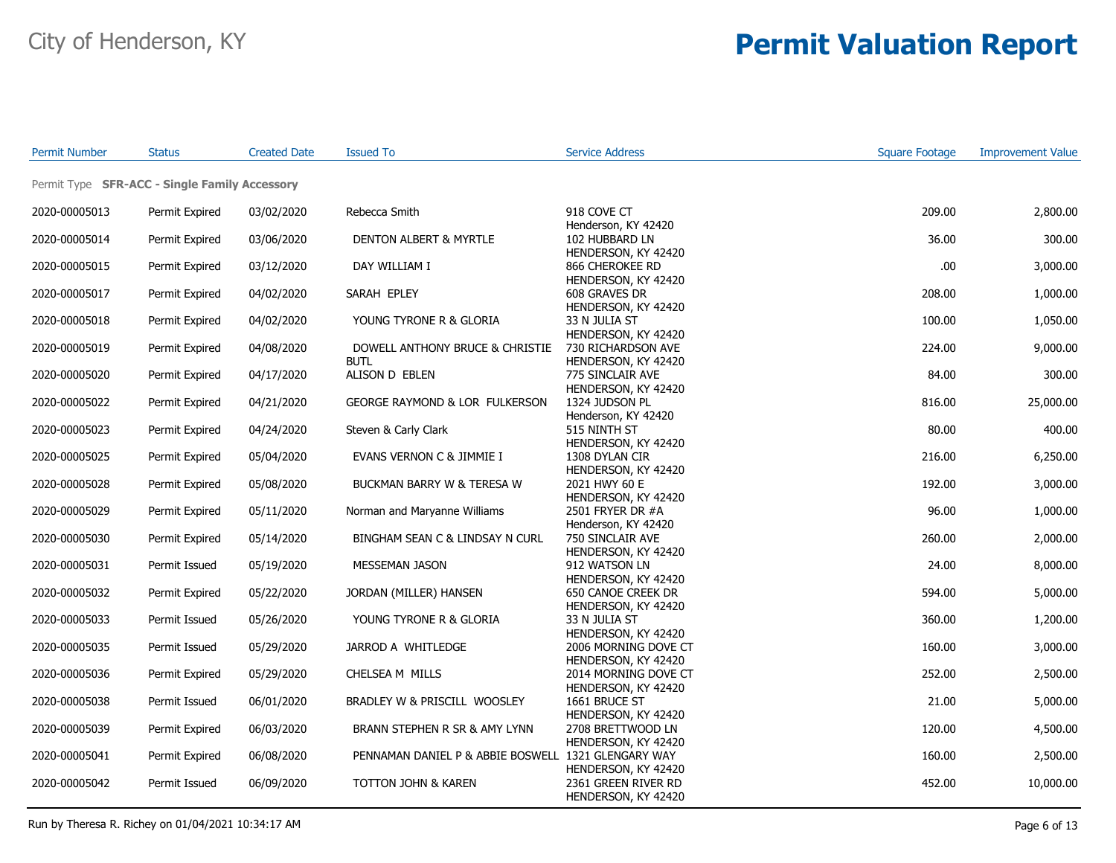| <b>Permit Number</b> | <b>Status</b>                                 | <b>Created Date</b> | <b>Issued To</b>                                    | <b>Service Address</b>                                         | <b>Square Footage</b> | <b>Improvement Value</b> |
|----------------------|-----------------------------------------------|---------------------|-----------------------------------------------------|----------------------------------------------------------------|-----------------------|--------------------------|
|                      | Permit Type SFR-ACC - Single Family Accessory |                     |                                                     |                                                                |                       |                          |
| 2020-00005013        | Permit Expired                                | 03/02/2020          | Rebecca Smith                                       | 918 COVE CT                                                    | 209.00                | 2,800.00                 |
| 2020-00005014        | Permit Expired                                | 03/06/2020          | DENTON ALBERT & MYRTLE                              | Henderson, KY 42420<br>102 HUBBARD LN                          | 36.00                 | 300.00                   |
| 2020-00005015        | Permit Expired                                | 03/12/2020          | DAY WILLIAM I                                       | HENDERSON, KY 42420<br>866 CHEROKEE RD                         | .00.                  | 3,000.00                 |
| 2020-00005017        | Permit Expired                                | 04/02/2020          | SARAH EPLEY                                         | HENDERSON, KY 42420<br>608 GRAVES DR                           | 208.00                | 1,000.00                 |
| 2020-00005018        | Permit Expired                                | 04/02/2020          | YOUNG TYRONE R & GLORIA                             | HENDERSON, KY 42420<br>33 N JULIA ST                           | 100.00                | 1,050.00                 |
| 2020-00005019        | Permit Expired                                | 04/08/2020          | DOWELL ANTHONY BRUCE & CHRISTIE<br><b>BUTL</b>      | HENDERSON, KY 42420<br>730 RICHARDSON AVE                      | 224.00                | 9,000.00                 |
| 2020-00005020        | Permit Expired                                | 04/17/2020          | ALISON D EBLEN                                      | HENDERSON, KY 42420<br>775 SINCLAIR AVE<br>HENDERSON, KY 42420 | 84.00                 | 300.00                   |
| 2020-00005022        | Permit Expired                                | 04/21/2020          | GEORGE RAYMOND & LOR FULKERSON                      | 1324 JUDSON PL<br>Henderson, KY 42420                          | 816.00                | 25,000.00                |
| 2020-00005023        | Permit Expired                                | 04/24/2020          | Steven & Carly Clark                                | 515 NINTH ST<br>HENDERSON, KY 42420                            | 80.00                 | 400.00                   |
| 2020-00005025        | Permit Expired                                | 05/04/2020          | EVANS VERNON C & JIMMIE I                           | 1308 DYLAN CIR<br>HENDERSON, KY 42420                          | 216.00                | 6,250.00                 |
| 2020-00005028        | Permit Expired                                | 05/08/2020          | BUCKMAN BARRY W & TERESA W                          | 2021 HWY 60 E<br>HENDERSON, KY 42420                           | 192.00                | 3,000.00                 |
| 2020-00005029        | Permit Expired                                | 05/11/2020          | Norman and Maryanne Williams                        | 2501 FRYER DR #A<br>Henderson, KY 42420                        | 96.00                 | 1,000.00                 |
| 2020-00005030        | Permit Expired                                | 05/14/2020          | BINGHAM SEAN C & LINDSAY N CURL                     | 750 SINCLAIR AVE<br>HENDERSON, KY 42420                        | 260.00                | 2,000.00                 |
| 2020-00005031        | Permit Issued                                 | 05/19/2020          | MESSEMAN JASON                                      | 912 WATSON LN<br>HENDERSON, KY 42420                           | 24.00                 | 8,000.00                 |
| 2020-00005032        | Permit Expired                                | 05/22/2020          | JORDAN (MILLER) HANSEN                              | 650 CANOE CREEK DR<br>HENDERSON, KY 42420                      | 594.00                | 5,000.00                 |
| 2020-00005033        | Permit Issued                                 | 05/26/2020          | YOUNG TYRONE R & GLORIA                             | 33 N JULIA ST<br>HENDERSON, KY 42420                           | 360.00                | 1,200.00                 |
| 2020-00005035        | Permit Issued                                 | 05/29/2020          | JARROD A WHITLEDGE                                  | 2006 MORNING DOVE CT<br>HENDERSON, KY 42420                    | 160.00                | 3,000.00                 |
| 2020-00005036        | Permit Expired                                | 05/29/2020          | CHELSEA M MILLS                                     | 2014 MORNING DOVE CT<br>HENDERSON, KY 42420                    | 252.00                | 2,500.00                 |
| 2020-00005038        | Permit Issued                                 | 06/01/2020          | BRADLEY W & PRISCILL WOOSLEY                        | 1661 BRUCE ST<br>HENDERSON, KY 42420                           | 21.00                 | 5,000.00                 |
| 2020-00005039        | Permit Expired                                | 06/03/2020          | BRANN STEPHEN R SR & AMY LYNN                       | 2708 BRETTWOOD LN<br>HENDERSON, KY 42420                       | 120.00                | 4,500.00                 |
| 2020-00005041        | Permit Expired                                | 06/08/2020          | PENNAMAN DANIEL P & ABBIE BOSWELL 1321 GLENGARY WAY | HENDERSON, KY 42420                                            | 160.00                | 2,500.00                 |
| 2020-00005042        | Permit Issued                                 | 06/09/2020          | TOTTON JOHN & KAREN                                 | 2361 GREEN RIVER RD<br>HENDERSON, KY 42420                     | 452.00                | 10,000.00                |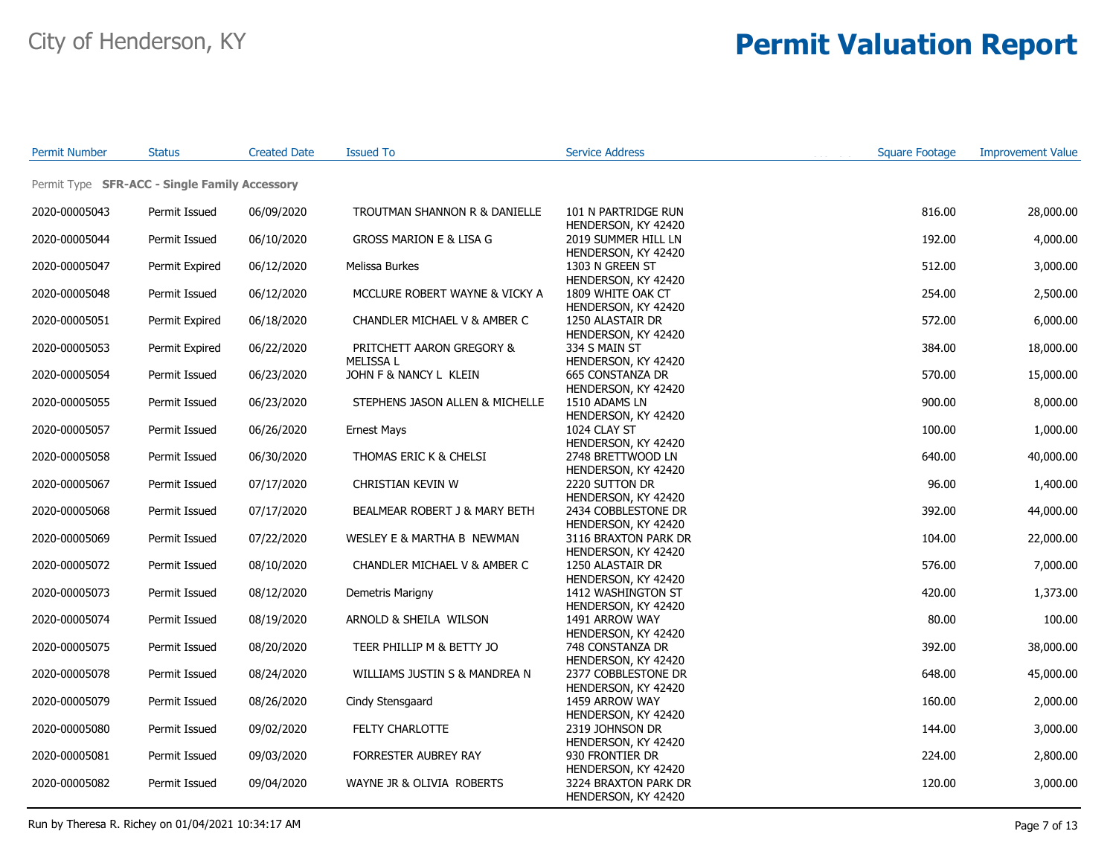| <b>Permit Number</b> | <b>Status</b>                                 | <b>Created Date</b> | <b>Issued To</b>                             | <b>Service Address</b>                                            | <b>Square Footage</b> | <b>Improvement Value</b> |
|----------------------|-----------------------------------------------|---------------------|----------------------------------------------|-------------------------------------------------------------------|-----------------------|--------------------------|
|                      | Permit Type SFR-ACC - Single Family Accessory |                     |                                              |                                                                   |                       |                          |
| 2020-00005043        | Permit Issued                                 | 06/09/2020          | TROUTMAN SHANNON R & DANIELLE                | 101 N PARTRIDGE RUN                                               | 816.00                | 28,000.00                |
| 2020-00005044        | Permit Issued                                 | 06/10/2020          | <b>GROSS MARION E &amp; LISA G</b>           | HENDERSON, KY 42420<br>2019 SUMMER HILL LN<br>HENDERSON, KY 42420 | 192.00                | 4,000.00                 |
| 2020-00005047        | Permit Expired                                | 06/12/2020          | Melissa Burkes                               | 1303 N GREEN ST<br>HENDERSON, KY 42420                            | 512.00                | 3,000.00                 |
| 2020-00005048        | Permit Issued                                 | 06/12/2020          | MCCLURE ROBERT WAYNE & VICKY A               | 1809 WHITE OAK CT<br>HENDERSON, KY 42420                          | 254.00                | 2,500.00                 |
| 2020-00005051        | Permit Expired                                | 06/18/2020          | CHANDLER MICHAEL V & AMBER C                 | 1250 ALASTAIR DR<br>HENDERSON, KY 42420                           | 572.00                | 6,000.00                 |
| 2020-00005053        | Permit Expired                                | 06/22/2020          | PRITCHETT AARON GREGORY &<br><b>MELISSAL</b> | 334 S MAIN ST<br>HENDERSON, KY 42420                              | 384.00                | 18,000.00                |
| 2020-00005054        | Permit Issued                                 | 06/23/2020          | JOHN F & NANCY L KLEIN                       | 665 CONSTANZA DR<br>HENDERSON, KY 42420                           | 570.00                | 15,000.00                |
| 2020-00005055        | Permit Issued                                 | 06/23/2020          | STEPHENS JASON ALLEN & MICHELLE              | 1510 ADAMS LN<br>HENDERSON, KY 42420                              | 900.00                | 8,000.00                 |
| 2020-00005057        | Permit Issued                                 | 06/26/2020          | <b>Ernest Mays</b>                           | 1024 CLAY ST<br>HENDERSON, KY 42420                               | 100.00                | 1,000.00                 |
| 2020-00005058        | Permit Issued                                 | 06/30/2020          | THOMAS ERIC K & CHELSI                       | 2748 BRETTWOOD LN<br>HENDERSON, KY 42420                          | 640.00                | 40,000.00                |
| 2020-00005067        | Permit Issued                                 | 07/17/2020          | CHRISTIAN KEVIN W                            | 2220 SUTTON DR<br>HENDERSON, KY 42420                             | 96.00                 | 1,400.00                 |
| 2020-00005068        | Permit Issued                                 | 07/17/2020          | BEALMEAR ROBERT J & MARY BETH                | 2434 COBBLESTONE DR<br>HENDERSON, KY 42420                        | 392.00                | 44,000.00                |
| 2020-00005069        | Permit Issued                                 | 07/22/2020          | WESLEY E & MARTHA B NEWMAN                   | 3116 BRAXTON PARK DR<br>HENDERSON, KY 42420                       | 104.00                | 22,000.00                |
| 2020-00005072        | Permit Issued                                 | 08/10/2020          | CHANDLER MICHAEL V & AMBER C                 | 1250 ALASTAIR DR<br>HENDERSON, KY 42420                           | 576.00                | 7,000.00                 |
| 2020-00005073        | Permit Issued                                 | 08/12/2020          | Demetris Marigny                             | 1412 WASHINGTON ST<br>HENDERSON, KY 42420                         | 420.00                | 1,373.00                 |
| 2020-00005074        | Permit Issued                                 | 08/19/2020          | ARNOLD & SHEILA WILSON                       | 1491 ARROW WAY<br>HENDERSON, KY 42420                             | 80.00                 | 100.00                   |
| 2020-00005075        | Permit Issued                                 | 08/20/2020          | TEER PHILLIP M & BETTY JO                    | 748 CONSTANZA DR<br>HENDERSON, KY 42420                           | 392.00                | 38,000.00                |
| 2020-00005078        | Permit Issued                                 | 08/24/2020          | WILLIAMS JUSTIN S & MANDREA N                | 2377 COBBLESTONE DR<br>HENDERSON, KY 42420                        | 648.00                | 45,000.00                |
| 2020-00005079        | Permit Issued                                 | 08/26/2020          | Cindy Stensgaard                             | 1459 ARROW WAY<br>HENDERSON, KY 42420                             | 160.00                | 2,000.00                 |
| 2020-00005080        | Permit Issued                                 | 09/02/2020          | FELTY CHARLOTTE                              | 2319 JOHNSON DR<br>HENDERSON, KY 42420                            | 144.00                | 3,000.00                 |
| 2020-00005081        | Permit Issued                                 | 09/03/2020          | FORRESTER AUBREY RAY                         | 930 FRONTIER DR<br>HENDERSON, KY 42420                            | 224.00                | 2,800.00                 |
| 2020-00005082        | Permit Issued                                 | 09/04/2020          | WAYNE JR & OLIVIA ROBERTS                    | 3224 BRAXTON PARK DR<br>HENDERSON, KY 42420                       | 120.00                | 3,000.00                 |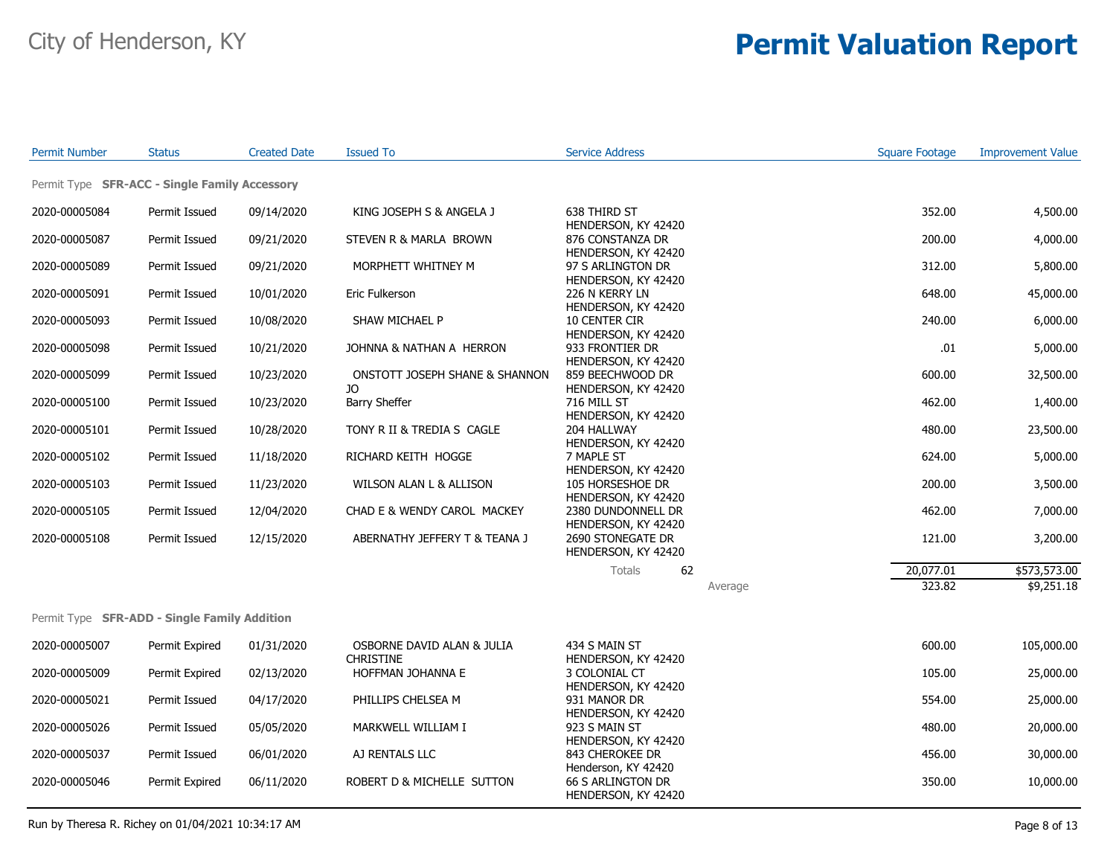| <b>Permit Number</b>                                | <b>Status</b>  | <b>Created Date</b> | <b>Issued To</b>                      | <b>Service Address</b>                                          |         | <b>Square Footage</b> | <b>Improvement Value</b> |
|-----------------------------------------------------|----------------|---------------------|---------------------------------------|-----------------------------------------------------------------|---------|-----------------------|--------------------------|
| Permit Type SFR-ACC - Single Family Accessory       |                |                     |                                       |                                                                 |         |                       |                          |
| 2020-00005084                                       | Permit Issued  | 09/14/2020          | KING JOSEPH S & ANGELA J              | 638 THIRD ST                                                    |         | 352.00                | 4,500.00                 |
| 2020-00005087                                       | Permit Issued  | 09/21/2020          | STEVEN R & MARLA BROWN                | HENDERSON, KY 42420<br>876 CONSTANZA DR                         |         | 200.00                | 4,000.00                 |
| 2020-00005089                                       | Permit Issued  | 09/21/2020          | MORPHETT WHITNEY M                    | HENDERSON, KY 42420<br>97 S ARLINGTON DR                        |         | 312.00                | 5,800.00                 |
| 2020-00005091                                       | Permit Issued  | 10/01/2020          | Eric Fulkerson                        | HENDERSON, KY 42420<br>226 N KERRY LN                           |         | 648.00                | 45,000.00                |
| 2020-00005093                                       | Permit Issued  | 10/08/2020          | SHAW MICHAEL P                        | HENDERSON, KY 42420<br>10 CENTER CIR                            |         | 240.00                | 6,000.00                 |
| 2020-00005098                                       | Permit Issued  | 10/21/2020          | JOHNNA & NATHAN A HERRON              | HENDERSON, KY 42420<br>933 FRONTIER DR                          |         | .01                   | 5,000.00                 |
| 2020-00005099                                       | Permit Issued  | 10/23/2020          | ONSTOTT JOSEPH SHANE & SHANNON        | HENDERSON, KY 42420<br>859 BEECHWOOD DR                         |         | 600.00                | 32,500.00                |
| 2020-00005100                                       | Permit Issued  | 10/23/2020          | JO<br><b>Barry Sheffer</b>            | HENDERSON, KY 42420<br>716 MILL ST                              |         | 462.00                | 1,400.00                 |
| 2020-00005101                                       | Permit Issued  | 10/28/2020          | TONY R II & TREDIA S CAGLE            | HENDERSON, KY 42420<br>204 HALLWAY                              |         | 480.00                | 23,500.00                |
| 2020-00005102                                       | Permit Issued  | 11/18/2020          | RICHARD KEITH HOGGE                   | HENDERSON, KY 42420<br>7 MAPLE ST                               |         | 624.00                | 5,000.00                 |
| 2020-00005103                                       | Permit Issued  | 11/23/2020          | WILSON ALAN L & ALLISON               | HENDERSON, KY 42420<br>105 HORSESHOE DR                         |         | 200.00                | 3,500.00                 |
| 2020-00005105                                       | Permit Issued  | 12/04/2020          | CHAD E & WENDY CAROL MACKEY           | HENDERSON, KY 42420<br>2380 DUNDONNELL DR                       |         | 462.00                | 7,000.00                 |
| 2020-00005108                                       | Permit Issued  | 12/15/2020          | ABERNATHY JEFFERY T & TEANA J         | HENDERSON, KY 42420<br>2690 STONEGATE DR<br>HENDERSON, KY 42420 |         | 121.00                | 3,200.00                 |
|                                                     |                |                     |                                       | 62<br>Totals                                                    |         | 20,077.01             | \$573,573.00             |
|                                                     |                |                     |                                       |                                                                 | Average | 323.82                | \$9,251.18               |
| Permit Type <b>SFR-ADD - Single Family Addition</b> |                |                     |                                       |                                                                 |         |                       |                          |
| 2020-00005007                                       | Permit Expired | 01/31/2020          | OSBORNE DAVID ALAN & JULIA            | 434 S MAIN ST                                                   |         | 600.00                | 105,000.00               |
| 2020-00005009                                       | Permit Expired | 02/13/2020          | <b>CHRISTINE</b><br>HOFFMAN JOHANNA E | HENDERSON, KY 42420<br>3 COLONIAL CT                            |         | 105.00                | 25,000.00                |
| 2020-00005021                                       | Permit Issued  | 04/17/2020          | PHILLIPS CHELSEA M                    | HENDERSON, KY 42420<br>931 MANOR DR                             |         | 554.00                | 25,000.00                |
| 2020-00005026                                       | Permit Issued  | 05/05/2020          | MARKWELL WILLIAM I                    | HENDERSON, KY 42420<br>923 S MAIN ST                            |         | 480.00                | 20,000.00                |
| 2020-00005037                                       | Permit Issued  | 06/01/2020          | AJ RENTALS LLC                        | HENDERSON, KY 42420<br>843 CHEROKEE DR                          |         | 456.00                | 30,000.00                |
| 2020-00005046                                       | Permit Expired | 06/11/2020          | ROBERT D & MICHELLE SUTTON            | Henderson, KY 42420<br>66 S ARLINGTON DR<br>HENDERSON, KY 42420 |         | 350.00                | 10,000.00                |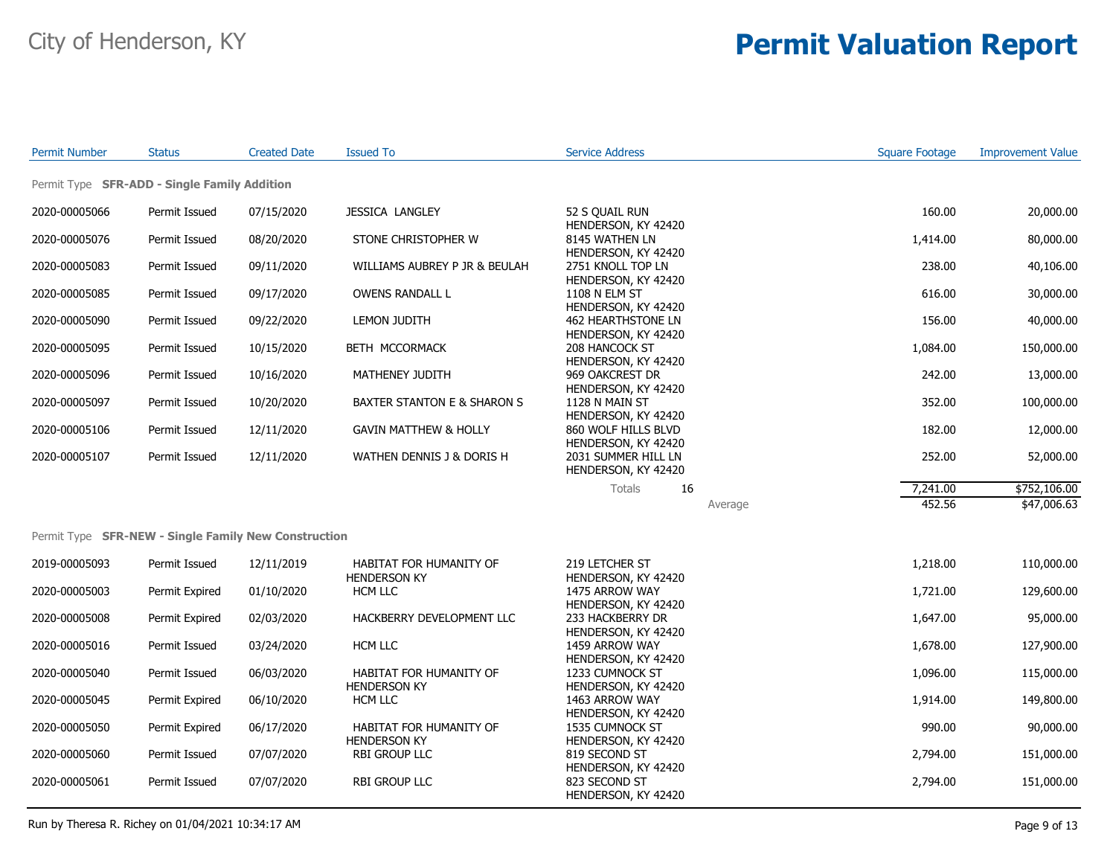| <b>Permit Number</b> | <b>Status</b>                                        | <b>Created Date</b> | <b>Issued To</b>                            | <b>Service Address</b>                                            | <b>Square Footage</b> | <b>Improvement Value</b> |
|----------------------|------------------------------------------------------|---------------------|---------------------------------------------|-------------------------------------------------------------------|-----------------------|--------------------------|
|                      | Permit Type SFR-ADD - Single Family Addition         |                     |                                             |                                                                   |                       |                          |
| 2020-00005066        | Permit Issued                                        | 07/15/2020          | <b>JESSICA LANGLEY</b>                      | 52 S QUAIL RUN                                                    | 160.00                | 20,000.00                |
| 2020-00005076        | Permit Issued                                        | 08/20/2020          | STONE CHRISTOPHER W                         | HENDERSON, KY 42420<br>8145 WATHEN LN                             | 1,414.00              | 80,000.00                |
| 2020-00005083        | Permit Issued                                        | 09/11/2020          | WILLIAMS AUBREY P JR & BEULAH               | HENDERSON, KY 42420<br>2751 KNOLL TOP LN                          | 238.00                | 40,106.00                |
| 2020-00005085        | Permit Issued                                        | 09/17/2020          | OWENS RANDALL L                             | HENDERSON, KY 42420<br>1108 N ELM ST                              | 616.00                | 30,000.00                |
| 2020-00005090        | Permit Issued                                        | 09/22/2020          | LEMON JUDITH                                | HENDERSON, KY 42420<br><b>462 HEARTHSTONE LN</b>                  | 156.00                | 40,000.00                |
| 2020-00005095        | Permit Issued                                        | 10/15/2020          | BETH MCCORMACK                              | HENDERSON, KY 42420<br>208 HANCOCK ST                             | 1,084.00              | 150,000.00               |
| 2020-00005096        | Permit Issued                                        | 10/16/2020          | MATHENEY JUDITH                             | HENDERSON, KY 42420<br>969 OAKCREST DR                            | 242.00                | 13,000.00                |
| 2020-00005097        | Permit Issued                                        | 10/20/2020          | BAXTER STANTON E & SHARON S                 | HENDERSON, KY 42420<br>1128 N MAIN ST                             | 352.00                | 100,000.00               |
| 2020-00005106        | Permit Issued                                        | 12/11/2020          | <b>GAVIN MATTHEW &amp; HOLLY</b>            | HENDERSON, KY 42420<br>860 WOLF HILLS BLVD                        | 182.00                | 12,000.00                |
| 2020-00005107        | Permit Issued                                        | 12/11/2020          | WATHEN DENNIS J & DORIS H                   | HENDERSON, KY 42420<br>2031 SUMMER HILL LN<br>HENDERSON, KY 42420 | 252.00                | 52,000.00                |
|                      |                                                      |                     |                                             | 16<br><b>Totals</b>                                               | 7,241.00              | \$752,106.00             |
|                      |                                                      |                     |                                             | Average                                                           | 452.56                | \$47,006.63              |
|                      | Permit Type SFR-NEW - Single Family New Construction |                     |                                             |                                                                   |                       |                          |
| 2019-00005093        | Permit Issued                                        | 12/11/2019          | <b>HABITAT FOR HUMANITY OF</b>              | 219 LETCHER ST                                                    | 1,218.00              | 110,000.00               |
| 2020-00005003        | Permit Expired                                       | 01/10/2020          | <b>HENDERSON KY</b><br>HCM LLC              | HENDERSON, KY 42420<br>1475 ARROW WAY                             | 1,721.00              | 129,600.00               |
| 2020-00005008        | Permit Expired                                       | 02/03/2020          | HACKBERRY DEVELOPMENT LLC                   | HENDERSON, KY 42420<br>233 HACKBERRY DR                           | 1,647.00              | 95,000.00                |
| 2020-00005016        | Permit Issued                                        | 03/24/2020          | HCM LLC                                     | HENDERSON, KY 42420<br>1459 ARROW WAY                             | 1,678.00              | 127,900.00               |
| 2020-00005040        | Permit Issued                                        | 06/03/2020          | HABITAT FOR HUMANITY OF                     | HENDERSON, KY 42420<br>1233 CUMNOCK ST                            | 1,096.00              | 115,000.00               |
| 2020-00005045        | Permit Expired                                       | 06/10/2020          | <b>HENDERSON KY</b><br>HCM LLC              | HENDERSON, KY 42420<br>1463 ARROW WAY                             | 1,914.00              | 149,800.00               |
| 2020-00005050        | Permit Expired                                       | 06/17/2020          | HABITAT FOR HUMANITY OF                     | HENDERSON, KY 42420<br>1535 CUMNOCK ST                            | 990.00                | 90,000.00                |
| 2020-00005060        | Permit Issued                                        | 07/07/2020          | <b>HENDERSON KY</b><br><b>RBI GROUP LLC</b> | HENDERSON, KY 42420<br>819 SECOND ST                              | 2,794.00              | 151,000.00               |
| 2020-00005061        | Permit Issued                                        | 07/07/2020          | <b>RBI GROUP LLC</b>                        | HENDERSON, KY 42420<br>823 SECOND ST<br>HENDERSON, KY 42420       | 2,794.00              | 151,000.00               |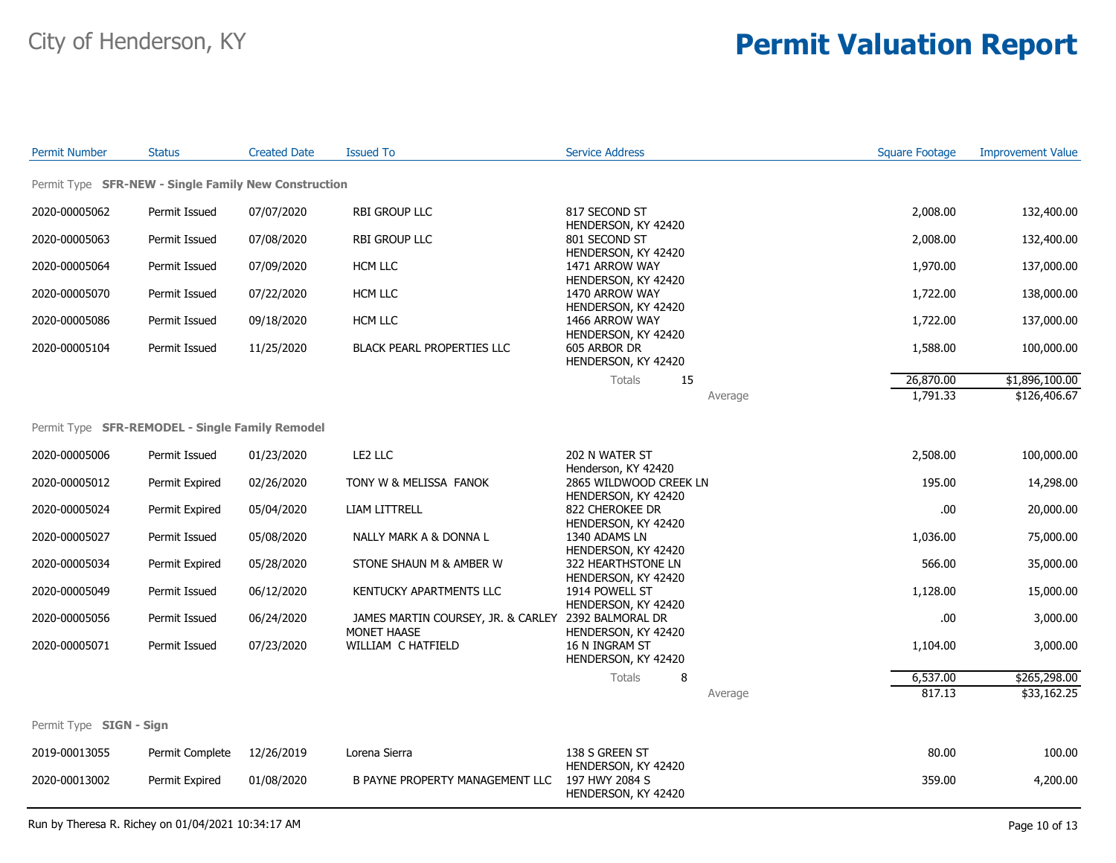| <b>Permit Number</b>                                 | <b>Status</b>   | <b>Created Date</b> | <b>Issued To</b>                                         | <b>Service Address</b>                                       | <b>Square Footage</b> | <b>Improvement Value</b> |
|------------------------------------------------------|-----------------|---------------------|----------------------------------------------------------|--------------------------------------------------------------|-----------------------|--------------------------|
| Permit Type SFR-NEW - Single Family New Construction |                 |                     |                                                          |                                                              |                       |                          |
| 2020-00005062                                        | Permit Issued   | 07/07/2020          | RBI GROUP LLC                                            | 817 SECOND ST                                                | 2,008.00              | 132,400.00               |
| 2020-00005063                                        | Permit Issued   | 07/08/2020          | RBI GROUP LLC                                            | HENDERSON, KY 42420<br>801 SECOND ST                         | 2,008.00              | 132,400.00               |
| 2020-00005064                                        | Permit Issued   | 07/09/2020          | HCM LLC                                                  | HENDERSON, KY 42420<br>1471 ARROW WAY                        | 1,970.00              | 137,000.00               |
| 2020-00005070                                        | Permit Issued   | 07/22/2020          | HCM LLC                                                  | HENDERSON, KY 42420<br>1470 ARROW WAY                        | 1,722.00              | 138,000.00               |
| 2020-00005086                                        | Permit Issued   | 09/18/2020          | HCM LLC                                                  | HENDERSON, KY 42420<br>1466 ARROW WAY                        | 1,722.00              | 137,000.00               |
| 2020-00005104                                        | Permit Issued   | 11/25/2020          | <b>BLACK PEARL PROPERTIES LLC</b>                        | HENDERSON, KY 42420<br>605 ARBOR DR<br>HENDERSON, KY 42420   | 1,588.00              | 100,000.00               |
|                                                      |                 |                     |                                                          | 15<br>Totals                                                 | 26,870.00             | \$1,896,100.00           |
|                                                      |                 |                     |                                                          | Average                                                      | 1,791.33              | \$126,406.67             |
| Permit Type SFR-REMODEL - Single Family Remodel      |                 |                     |                                                          |                                                              |                       |                          |
| 2020-00005006                                        | Permit Issued   | 01/23/2020          | LE2 LLC                                                  | 202 N WATER ST<br>Henderson, KY 42420                        | 2,508.00              | 100,000.00               |
| 2020-00005012                                        | Permit Expired  | 02/26/2020          | TONY W & MELISSA FANOK                                   | 2865 WILDWOOD CREEK LN<br>HENDERSON, KY 42420                | 195.00                | 14,298.00                |
| 2020-00005024                                        | Permit Expired  | 05/04/2020          | <b>LIAM LITTRELL</b>                                     | 822 CHEROKEE DR<br>HENDERSON, KY 42420                       | .00                   | 20,000.00                |
| 2020-00005027                                        | Permit Issued   | 05/08/2020          | NALLY MARK A & DONNA L                                   | 1340 ADAMS LN<br>HENDERSON, KY 42420                         | 1,036.00              | 75,000.00                |
| 2020-00005034                                        | Permit Expired  | 05/28/2020          | STONE SHAUN M & AMBER W                                  | 322 HEARTHSTONE LN<br>HENDERSON, KY 42420                    | 566.00                | 35,000.00                |
| 2020-00005049                                        | Permit Issued   | 06/12/2020          | KENTUCKY APARTMENTS LLC                                  | 1914 POWELL ST<br>HENDERSON, KY 42420                        | 1,128.00              | 15,000.00                |
| 2020-00005056                                        | Permit Issued   | 06/24/2020          | JAMES MARTIN COURSEY, JR. & CARLEY<br><b>MONET HAASE</b> | 2392 BALMORAL DR<br>HENDERSON, KY 42420                      | .00                   | 3,000.00                 |
| 2020-00005071                                        | Permit Issued   | 07/23/2020          | WILLIAM C HATFIELD                                       | 16 N INGRAM ST<br>HENDERSON, KY 42420                        | 1,104.00              | 3,000.00                 |
|                                                      |                 |                     |                                                          | <b>Totals</b><br>8                                           | 6,537.00              | \$265,298.00             |
|                                                      |                 |                     |                                                          | Average                                                      | 817.13                | \$33,162.25              |
| Permit Type <b>SIGN - Sign</b>                       |                 |                     |                                                          |                                                              |                       |                          |
| 2019-00013055                                        | Permit Complete | 12/26/2019          | Lorena Sierra                                            | 138 S GREEN ST                                               | 80.00                 | 100.00                   |
| 2020-00013002                                        | Permit Expired  | 01/08/2020          | B PAYNE PROPERTY MANAGEMENT LLC                          | HENDERSON, KY 42420<br>197 HWY 2084 S<br>HENDERSON, KY 42420 | 359.00                | 4,200.00                 |

Run by Theresa R. Richey on 01/04/2021 10:34:17 AM Page 10 of 13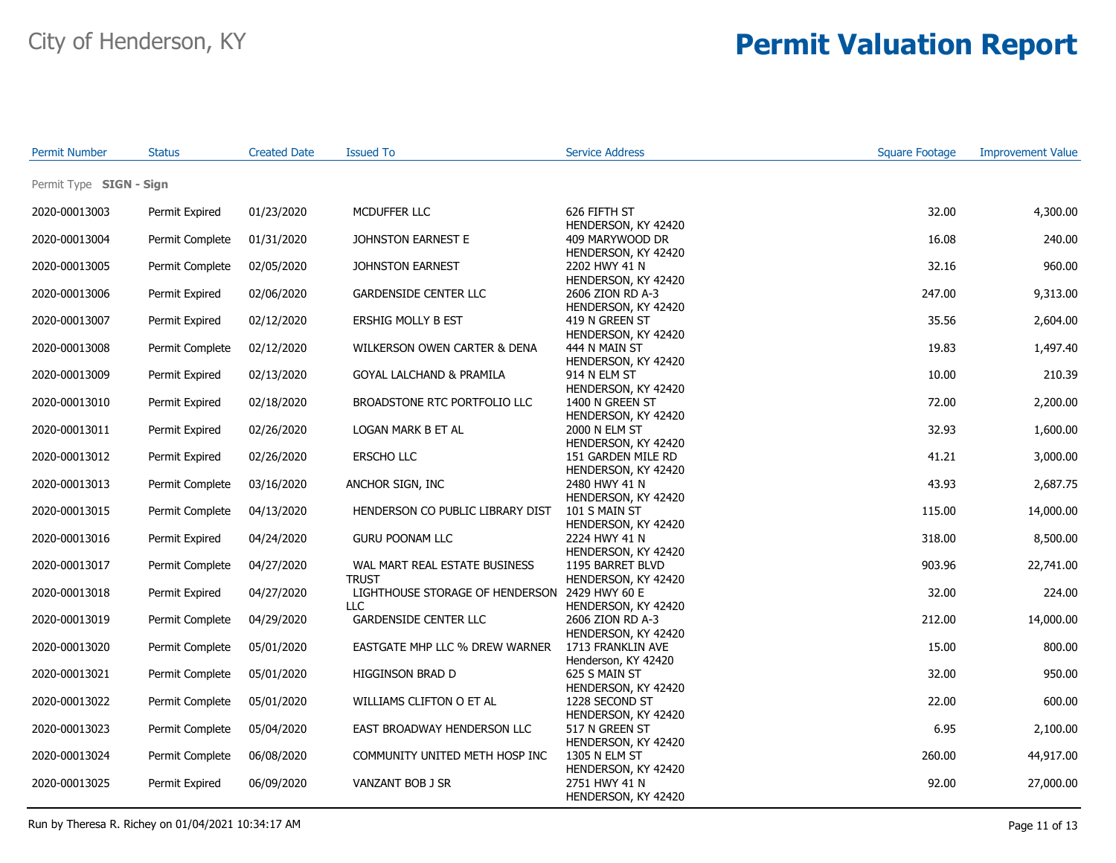| <b>Permit Number</b>    | <b>Status</b>   | <b>Created Date</b> | <b>Issued To</b>                                      | <b>Service Address</b>                                        | <b>Square Footage</b> | <b>Improvement Value</b> |
|-------------------------|-----------------|---------------------|-------------------------------------------------------|---------------------------------------------------------------|-----------------------|--------------------------|
| Permit Type SIGN - Sign |                 |                     |                                                       |                                                               |                       |                          |
| 2020-00013003           | Permit Expired  | 01/23/2020          | MCDUFFER LLC                                          | 626 FIFTH ST                                                  | 32.00                 | 4,300.00                 |
| 2020-00013004           | Permit Complete | 01/31/2020          | JOHNSTON EARNEST E                                    | HENDERSON, KY 42420<br>409 MARYWOOD DR<br>HENDERSON, KY 42420 | 16.08                 | 240.00                   |
| 2020-00013005           | Permit Complete | 02/05/2020          | <b>JOHNSTON EARNEST</b>                               | 2202 HWY 41 N<br>HENDERSON, KY 42420                          | 32.16                 | 960.00                   |
| 2020-00013006           | Permit Expired  | 02/06/2020          | <b>GARDENSIDE CENTER LLC</b>                          | 2606 ZION RD A-3<br>HENDERSON, KY 42420                       | 247.00                | 9,313.00                 |
| 2020-00013007           | Permit Expired  | 02/12/2020          | ERSHIG MOLLY B EST                                    | 419 N GREEN ST<br>HENDERSON, KY 42420                         | 35.56                 | 2,604.00                 |
| 2020-00013008           | Permit Complete | 02/12/2020          | WILKERSON OWEN CARTER & DENA                          | 444 N MAIN ST<br>HENDERSON, KY 42420                          | 19.83                 | 1,497.40                 |
| 2020-00013009           | Permit Expired  | 02/13/2020          | GOYAL LALCHAND & PRAMILA                              | 914 N ELM ST<br>HENDERSON, KY 42420                           | 10.00                 | 210.39                   |
| 2020-00013010           | Permit Expired  | 02/18/2020          | BROADSTONE RTC PORTFOLIO LLC                          | 1400 N GREEN ST<br>HENDERSON, KY 42420                        | 72.00                 | 2,200.00                 |
| 2020-00013011           | Permit Expired  | 02/26/2020          | LOGAN MARK B ET AL                                    | 2000 N ELM ST<br>HENDERSON, KY 42420                          | 32.93                 | 1,600.00                 |
| 2020-00013012           | Permit Expired  | 02/26/2020          | <b>ERSCHO LLC</b>                                     | 151 GARDEN MILE RD<br>HENDERSON, KY 42420                     | 41.21                 | 3,000.00                 |
| 2020-00013013           | Permit Complete | 03/16/2020          | ANCHOR SIGN, INC                                      | 2480 HWY 41 N<br>HENDERSON, KY 42420                          | 43.93                 | 2,687.75                 |
| 2020-00013015           | Permit Complete | 04/13/2020          | HENDERSON CO PUBLIC LIBRARY DIST                      | 101 S MAIN ST<br>HENDERSON, KY 42420                          | 115.00                | 14,000.00                |
| 2020-00013016           | Permit Expired  | 04/24/2020          | <b>GURU POONAM LLC</b>                                | 2224 HWY 41 N<br>HENDERSON, KY 42420                          | 318.00                | 8,500.00                 |
| 2020-00013017           | Permit Complete | 04/27/2020          | WAL MART REAL ESTATE BUSINESS<br><b>TRUST</b>         | 1195 BARRET BLVD<br>HENDERSON, KY 42420                       | 903.96                | 22,741.00                |
| 2020-00013018           | Permit Expired  | 04/27/2020          | LIGHTHOUSE STORAGE OF HENDERSON 2429 HWY 60 E<br>LLC. | HENDERSON, KY 42420                                           | 32.00                 | 224.00                   |
| 2020-00013019           | Permit Complete | 04/29/2020          | <b>GARDENSIDE CENTER LLC</b>                          | 2606 ZION RD A-3<br>HENDERSON, KY 42420                       | 212.00                | 14,000.00                |
| 2020-00013020           | Permit Complete | 05/01/2020          | EASTGATE MHP LLC % DREW WARNER                        | 1713 FRANKLIN AVE<br>Henderson, KY 42420                      | 15.00                 | 800.00                   |
| 2020-00013021           | Permit Complete | 05/01/2020          | HIGGINSON BRAD D                                      | 625 S MAIN ST<br>HENDERSON, KY 42420                          | 32.00                 | 950.00                   |
| 2020-00013022           | Permit Complete | 05/01/2020          | WILLIAMS CLIFTON O ET AL                              | 1228 SECOND ST<br>HENDERSON, KY 42420                         | 22.00                 | 600.00                   |
| 2020-00013023           | Permit Complete | 05/04/2020          | EAST BROADWAY HENDERSON LLC                           | 517 N GREEN ST<br>HENDERSON, KY 42420                         | 6.95                  | 2,100.00                 |
| 2020-00013024           | Permit Complete | 06/08/2020          | COMMUNITY UNITED METH HOSP INC                        | 1305 N ELM ST<br>HENDERSON, KY 42420                          | 260.00                | 44,917.00                |
| 2020-00013025           | Permit Expired  | 06/09/2020          | VANZANT BOB J SR                                      | 2751 HWY 41 N<br>HENDERSON, KY 42420                          | 92.00                 | 27,000.00                |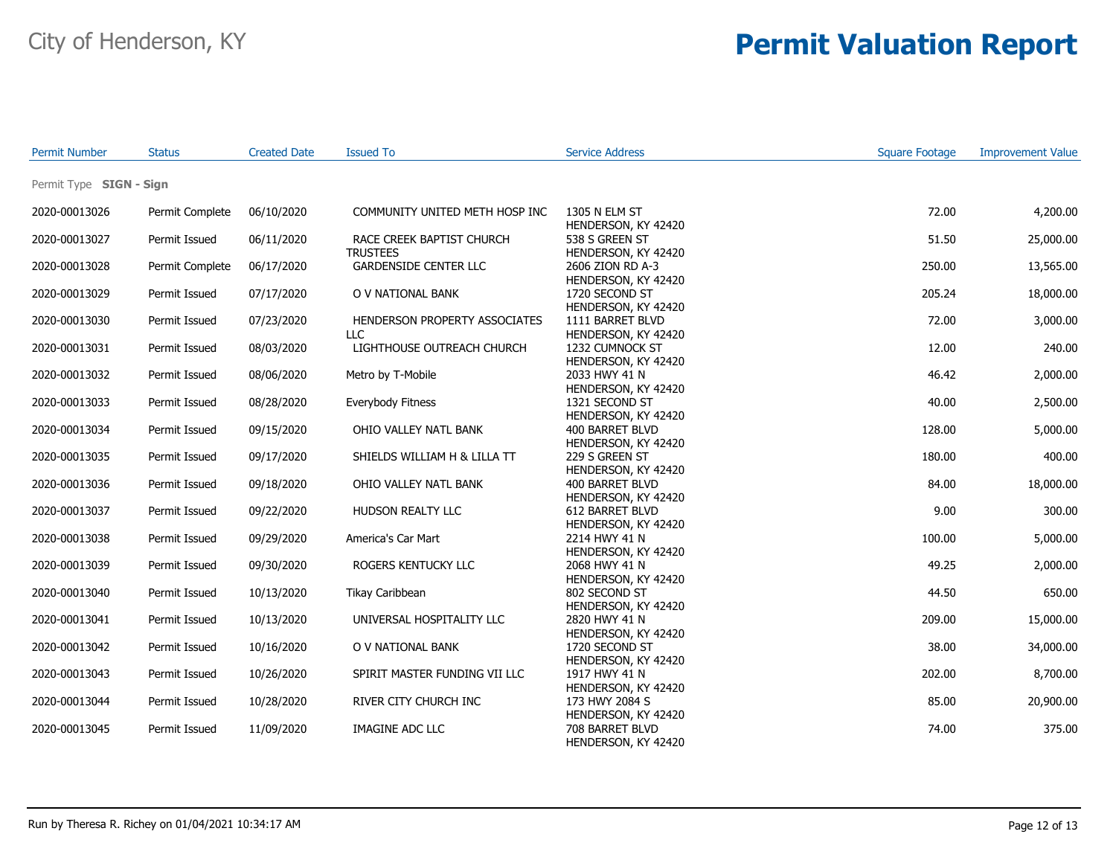| <b>Permit Number</b>    | <b>Status</b>   | <b>Created Date</b> | Issued To                                    | <b>Service Address</b>                  | <b>Square Footage</b> | <b>Improvement Value</b> |
|-------------------------|-----------------|---------------------|----------------------------------------------|-----------------------------------------|-----------------------|--------------------------|
| Permit Type SIGN - Sign |                 |                     |                                              |                                         |                       |                          |
| 2020-00013026           | Permit Complete | 06/10/2020          | COMMUNITY UNITED METH HOSP INC               | 1305 N ELM ST<br>HENDERSON, KY 42420    | 72.00                 | 4,200.00                 |
| 2020-00013027           | Permit Issued   | 06/11/2020          | RACE CREEK BAPTIST CHURCH<br><b>TRUSTEES</b> | 538 S GREEN ST<br>HENDERSON, KY 42420   | 51.50                 | 25,000.00                |
| 2020-00013028           | Permit Complete | 06/17/2020          | <b>GARDENSIDE CENTER LLC</b>                 | 2606 ZION RD A-3<br>HENDERSON, KY 42420 | 250.00                | 13,565.00                |
| 2020-00013029           | Permit Issued   | 07/17/2020          | O V NATIONAL BANK                            | 1720 SECOND ST<br>HENDERSON, KY 42420   | 205.24                | 18,000.00                |
| 2020-00013030           | Permit Issued   | 07/23/2020          | HENDERSON PROPERTY ASSOCIATES<br>LLC         | 1111 BARRET BLVD<br>HENDERSON, KY 42420 | 72.00                 | 3,000.00                 |
| 2020-00013031           | Permit Issued   | 08/03/2020          | LIGHTHOUSE OUTREACH CHURCH                   | 1232 CUMNOCK ST<br>HENDERSON, KY 42420  | 12.00                 | 240.00                   |
| 2020-00013032           | Permit Issued   | 08/06/2020          | Metro by T-Mobile                            | 2033 HWY 41 N<br>HENDERSON, KY 42420    | 46.42                 | 2,000.00                 |
| 2020-00013033           | Permit Issued   | 08/28/2020          | Everybody Fitness                            | 1321 SECOND ST<br>HENDERSON, KY 42420   | 40.00                 | 2,500.00                 |
| 2020-00013034           | Permit Issued   | 09/15/2020          | OHIO VALLEY NATL BANK                        | 400 BARRET BLVD<br>HENDERSON, KY 42420  | 128.00                | 5,000.00                 |
| 2020-00013035           | Permit Issued   | 09/17/2020          | SHIELDS WILLIAM H & LILLA TT                 | 229 S GREEN ST<br>HENDERSON, KY 42420   | 180.00                | 400.00                   |
| 2020-00013036           | Permit Issued   | 09/18/2020          | OHIO VALLEY NATL BANK                        | 400 BARRET BLVD<br>HENDERSON, KY 42420  | 84.00                 | 18,000.00                |
| 2020-00013037           | Permit Issued   | 09/22/2020          | HUDSON REALTY LLC                            | 612 BARRET BLVD<br>HENDERSON, KY 42420  | 9.00                  | 300.00                   |
| 2020-00013038           | Permit Issued   | 09/29/2020          | America's Car Mart                           | 2214 HWY 41 N<br>HENDERSON, KY 42420    | 100.00                | 5,000.00                 |
| 2020-00013039           | Permit Issued   | 09/30/2020          | ROGERS KENTUCKY LLC                          | 2068 HWY 41 N<br>HENDERSON, KY 42420    | 49.25                 | 2,000.00                 |
| 2020-00013040           | Permit Issued   | 10/13/2020          | Tikay Caribbean                              | 802 SECOND ST<br>HENDERSON, KY 42420    | 44.50                 | 650.00                   |
| 2020-00013041           | Permit Issued   | 10/13/2020          | UNIVERSAL HOSPITALITY LLC                    | 2820 HWY 41 N<br>HENDERSON, KY 42420    | 209.00                | 15,000.00                |
| 2020-00013042           | Permit Issued   | 10/16/2020          | O V NATIONAL BANK                            | 1720 SECOND ST<br>HENDERSON, KY 42420   | 38.00                 | 34,000.00                |
| 2020-00013043           | Permit Issued   | 10/26/2020          | SPIRIT MASTER FUNDING VII LLC                | 1917 HWY 41 N<br>HENDERSON, KY 42420    | 202.00                | 8,700.00                 |
| 2020-00013044           | Permit Issued   | 10/28/2020          | RIVER CITY CHURCH INC                        | 173 HWY 2084 S<br>HENDERSON, KY 42420   | 85.00                 | 20,900.00                |
| 2020-00013045           | Permit Issued   | 11/09/2020          | <b>IMAGINE ADC LLC</b>                       | 708 BARRET BLVD<br>HENDERSON, KY 42420  | 74.00                 | 375.00                   |